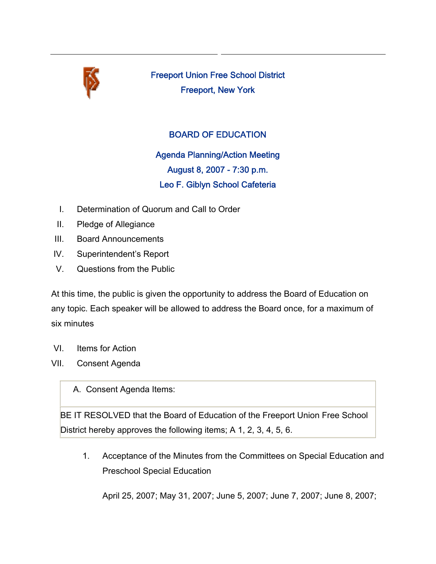

Freeport Union Free School District Freeport, New York

## BOARD OF EDUCATION

Agenda Planning/Action Meeting August 8, 2007 - 7:30 p.m. Leo F. Giblyn School Cafeteria

- I. Determination of Quorum and Call to Order
- II. Pledge of Allegiance
- III. Board Announcements
- IV. Superintendent's Report
- V. Questions from the Public

At this time, the public is given the opportunity to address the Board of Education on any topic. Each speaker will be allowed to address the Board once, for a maximum of six minutes

- VI. Items for Action
- VII. Consent Agenda

A. Consent Agenda Items:

BE IT RESOLVED that the Board of Education of the Freeport Union Free School District hereby approves the following items; A 1, 2, 3, 4, 5, 6.

1. Acceptance of the Minutes from the Committees on Special Education and Preschool Special Education

April 25, 2007; May 31, 2007; June 5, 2007; June 7, 2007; June 8, 2007;